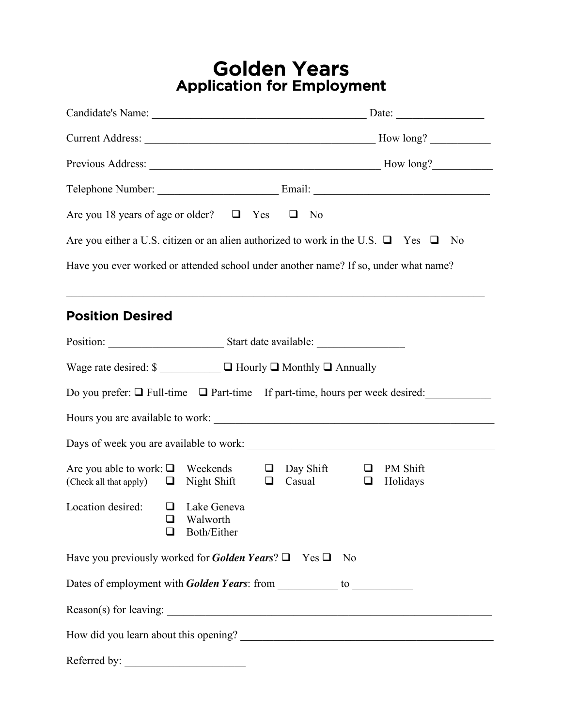# Golden Years Application for Employment

| Are you 18 years of age or older? $\Box$ Yes $\Box$ No                                                     |                                                                                               |
|------------------------------------------------------------------------------------------------------------|-----------------------------------------------------------------------------------------------|
|                                                                                                            | Are you either a U.S. citizen or an alien authorized to work in the U.S. $\Box$ Yes $\Box$ No |
| Have you ever worked or attended school under another name? If so, under what name?                        |                                                                                               |
|                                                                                                            |                                                                                               |
| <b>Position Desired</b>                                                                                    |                                                                                               |
|                                                                                                            |                                                                                               |
|                                                                                                            |                                                                                               |
|                                                                                                            | Do you prefer: $\Box$ Full-time $\Box$ Part-time If part-time, hours per week desired:        |
|                                                                                                            |                                                                                               |
|                                                                                                            |                                                                                               |
| Are you able to work: $\Box$ Weekends $\Box$ Day Shift<br>(Check all that apply) $\Box$ Night Shift $\Box$ | PM Shift<br>$\Box$<br>Casual<br>Holidays<br>$\Box$                                            |
| Location desired: $\Box$ Lake Geneva<br>$\Box$ Walworth<br>Both/Either<br>$\mathsf{L}$                     |                                                                                               |
| Have you previously worked for <i>Golden Years</i> ? $\Box$ Yes $\Box$ No                                  |                                                                                               |
|                                                                                                            |                                                                                               |
|                                                                                                            |                                                                                               |
|                                                                                                            |                                                                                               |
| Referred by:                                                                                               |                                                                                               |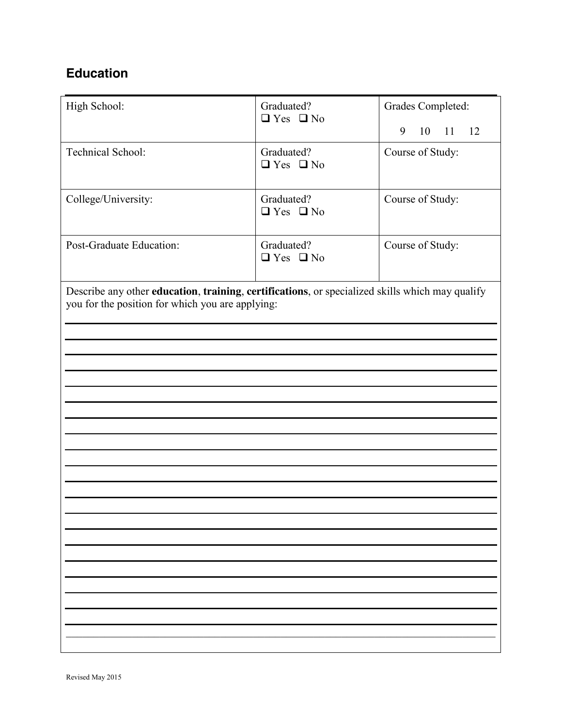## **Education**

| High School:                                                                                                                                        | Graduated?<br>$\Box$ Yes $\Box$ No | Grades Completed:   |  |
|-----------------------------------------------------------------------------------------------------------------------------------------------------|------------------------------------|---------------------|--|
|                                                                                                                                                     |                                    | 9<br>10<br>11<br>12 |  |
| Technical School:                                                                                                                                   | Graduated?<br>$\Box$ Yes $\Box$ No | Course of Study:    |  |
| College/University:                                                                                                                                 | Graduated?<br>$\Box$ Yes $\Box$ No | Course of Study:    |  |
| Post-Graduate Education:                                                                                                                            | Graduated?<br>$\Box$ Yes $\Box$ No | Course of Study:    |  |
| Describe any other education, training, certifications, or specialized skills which may qualify<br>you for the position for which you are applying: |                                    |                     |  |
|                                                                                                                                                     |                                    |                     |  |
|                                                                                                                                                     |                                    |                     |  |
|                                                                                                                                                     |                                    |                     |  |
|                                                                                                                                                     |                                    |                     |  |
|                                                                                                                                                     |                                    |                     |  |
|                                                                                                                                                     |                                    |                     |  |
|                                                                                                                                                     |                                    |                     |  |
|                                                                                                                                                     |                                    |                     |  |
|                                                                                                                                                     |                                    |                     |  |
|                                                                                                                                                     |                                    |                     |  |
|                                                                                                                                                     |                                    |                     |  |
|                                                                                                                                                     |                                    |                     |  |
|                                                                                                                                                     |                                    |                     |  |
|                                                                                                                                                     |                                    |                     |  |
|                                                                                                                                                     |                                    |                     |  |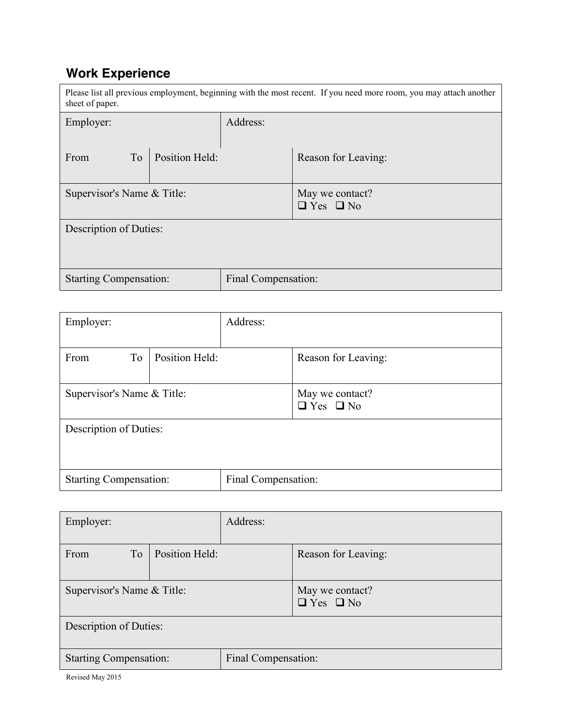## **Work Experience**

| Please list all previous employment, beginning with the most recent. If you need more room, you may attach another<br>sheet of paper. |                |                     |                                         |
|---------------------------------------------------------------------------------------------------------------------------------------|----------------|---------------------|-----------------------------------------|
| Employer:                                                                                                                             |                | Address:            |                                         |
|                                                                                                                                       |                |                     |                                         |
| T <sub>o</sub><br>From                                                                                                                | Position Held: |                     | Reason for Leaving:                     |
| Supervisor's Name & Title:                                                                                                            |                |                     | May we contact?<br>$\Box$ Yes $\Box$ No |
| Description of Duties:                                                                                                                |                |                     |                                         |
| <b>Starting Compensation:</b>                                                                                                         |                | Final Compensation: |                                         |

| Employer:                     |                | Address:            |                                         |
|-------------------------------|----------------|---------------------|-----------------------------------------|
|                               |                |                     |                                         |
| To<br>From                    | Position Held: |                     | Reason for Leaving:                     |
| Supervisor's Name & Title:    |                |                     | May we contact?<br>$\Box$ Yes $\Box$ No |
| Description of Duties:        |                |                     |                                         |
| <b>Starting Compensation:</b> |                | Final Compensation: |                                         |

| Employer:                     |                | Address:            |                                         |
|-------------------------------|----------------|---------------------|-----------------------------------------|
| T <sub>o</sub><br>From        | Position Held: |                     | Reason for Leaving:                     |
| Supervisor's Name & Title:    |                |                     | May we contact?<br>$\Box$ Yes $\Box$ No |
| Description of Duties:        |                |                     |                                         |
| <b>Starting Compensation:</b> |                | Final Compensation: |                                         |

Revised May 2015